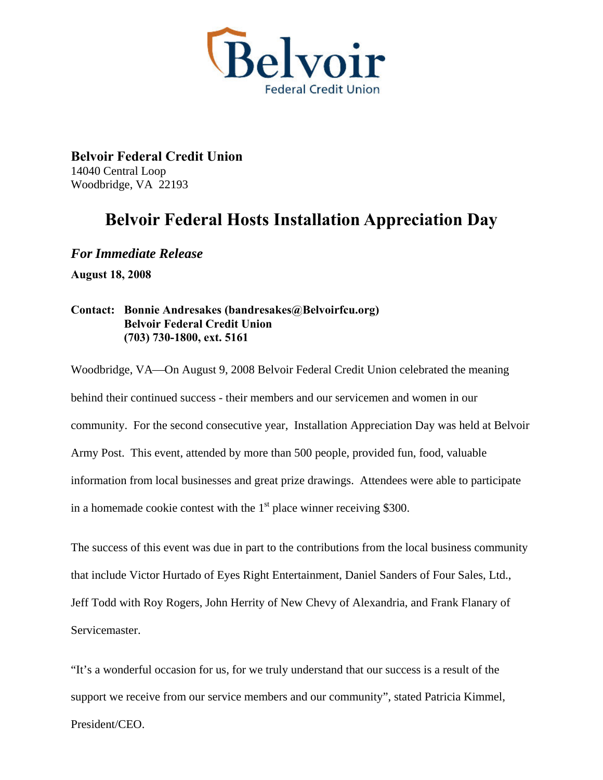

**Belvoir Federal Credit Union**  14040 Central Loop Woodbridge, VA 22193

## **Belvoir Federal Hosts Installation Appreciation Day**

*For Immediate Release*  **August 18, 2008**

## **Contact: Bonnie Andresakes (bandresakes@Belvoirfcu.org) Belvoir Federal Credit Union (703) 730-1800, ext. 5161**

Woodbridge, VA—On August 9, 2008 Belvoir Federal Credit Union celebrated the meaning behind their continued success - their members and our servicemen and women in our community. For the second consecutive year, Installation Appreciation Day was held at Belvoir Army Post. This event, attended by more than 500 people, provided fun, food, valuable information from local businesses and great prize drawings. Attendees were able to participate in a homemade cookie contest with the  $1<sup>st</sup>$  place winner receiving \$300.

The success of this event was due in part to the contributions from the local business community that include Victor Hurtado of Eyes Right Entertainment, Daniel Sanders of Four Sales, Ltd., Jeff Todd with Roy Rogers, John Herrity of New Chevy of Alexandria, and Frank Flanary of Servicemaster.

"It's a wonderful occasion for us, for we truly understand that our success is a result of the support we receive from our service members and our community", stated Patricia Kimmel,

President/CEO.